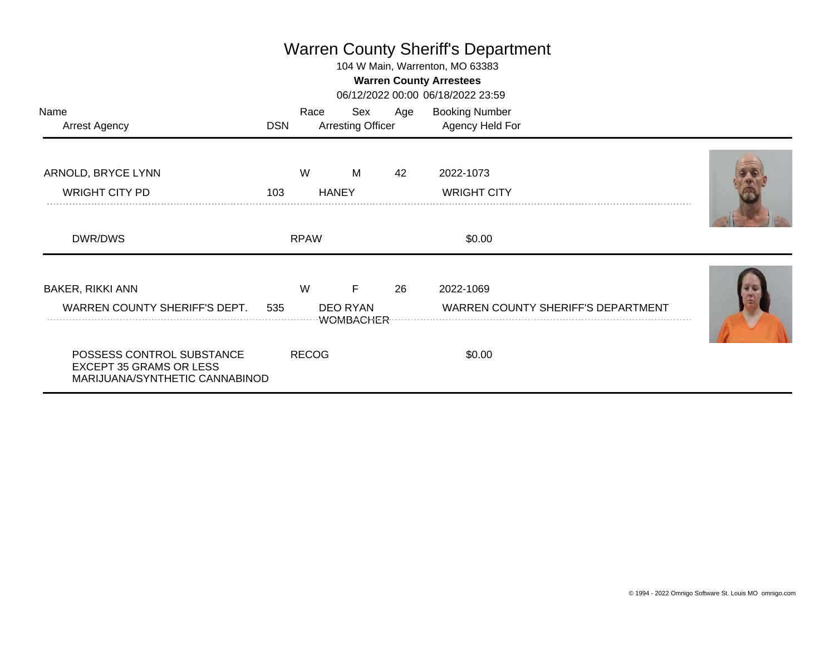## Warren County Sheriff's Department

104 W Main, Warrenton, MO 63383

## **Warren County Arrestees**

06/12/2022 00:00 06/18/2022 23:59

| Name<br><b>Arrest Agency</b>                                                                  | <b>DSN</b> | Race         | Sex<br><b>Arresting Officer</b>          | Age | <b>Booking Number</b><br>Agency Held For               |  |
|-----------------------------------------------------------------------------------------------|------------|--------------|------------------------------------------|-----|--------------------------------------------------------|--|
| ARNOLD, BRYCE LYNN<br><b>WRIGHT CITY PD</b>                                                   | 103        | W            | M<br><b>HANEY</b>                        | 42  | 2022-1073<br><b>WRIGHT CITY</b>                        |  |
| DWR/DWS                                                                                       |            | <b>RPAW</b>  |                                          |     | \$0.00                                                 |  |
| <b>BAKER, RIKKI ANN</b><br>WARREN COUNTY SHERIFF'S DEPT.                                      | 535        | W            | F<br><b>DEO RYAN</b><br><b>WOMBACHER</b> | 26  | 2022-1069<br><b>WARREN COUNTY SHERIFF'S DEPARTMENT</b> |  |
| POSSESS CONTROL SUBSTANCE<br><b>EXCEPT 35 GRAMS OR LESS</b><br>MARIJUANA/SYNTHETIC CANNABINOD |            | <b>RECOG</b> |                                          |     | \$0.00                                                 |  |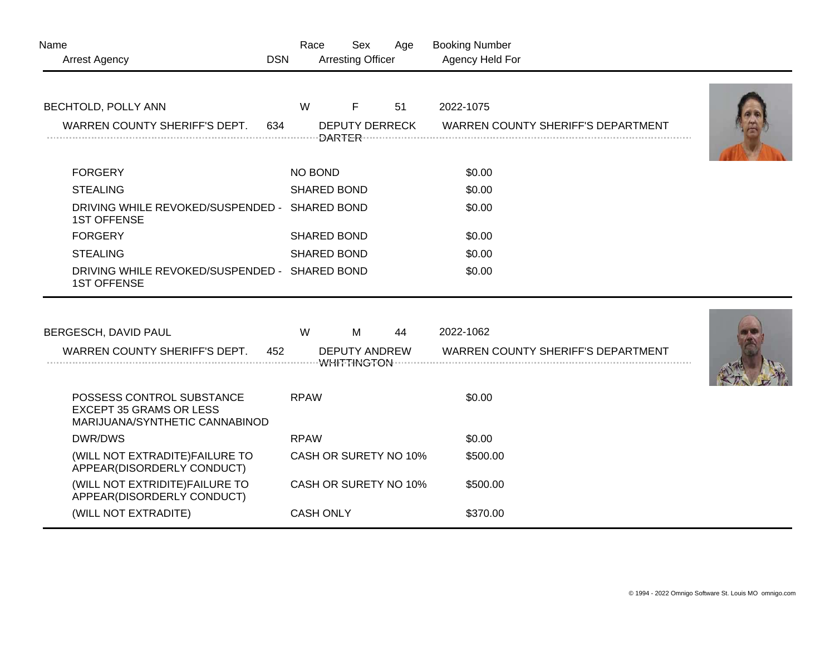| Name<br><b>Arrest Agency</b>                                                                  | <b>DSN</b>  | Race<br>Sex<br><b>Arresting Officer</b> | Age | <b>Booking Number</b><br>Agency Held For  |  |
|-----------------------------------------------------------------------------------------------|-------------|-----------------------------------------|-----|-------------------------------------------|--|
| <b>BECHTOLD, POLLY ANN</b>                                                                    | W           | F                                       | 51  | 2022-1075                                 |  |
| WARREN COUNTY SHERIFF'S DEPT.<br>634                                                          |             | <b>DEPUTY DERRECK</b>                   |     | <b>WARREN COUNTY SHERIFF'S DEPARTMENT</b> |  |
| <b>FORGERY</b>                                                                                |             | NO BOND                                 |     | \$0.00                                    |  |
| <b>STEALING</b>                                                                               |             | <b>SHARED BOND</b>                      |     | \$0.00                                    |  |
| DRIVING WHILE REVOKED/SUSPENDED - SHARED BOND<br><b>1ST OFFENSE</b>                           |             |                                         |     | \$0.00                                    |  |
| <b>FORGERY</b>                                                                                |             | <b>SHARED BOND</b>                      |     | \$0.00                                    |  |
| <b>STEALING</b>                                                                               |             | <b>SHARED BOND</b>                      |     | \$0.00                                    |  |
| DRIVING WHILE REVOKED/SUSPENDED - SHARED BOND<br><b>1ST OFFENSE</b>                           |             |                                         |     | \$0.00                                    |  |
|                                                                                               |             |                                         |     |                                           |  |
| BERGESCH, DAVID PAUL                                                                          | W           | M                                       | 44  | 2022-1062                                 |  |
| WARREN COUNTY SHERIFF'S DEPT.<br>452                                                          |             | <b>DEPUTY ANDREW</b>                    |     | <b>WARREN COUNTY SHERIFF'S DEPARTMENT</b> |  |
| POSSESS CONTROL SUBSTANCE<br><b>EXCEPT 35 GRAMS OR LESS</b><br>MARIJUANA/SYNTHETIC CANNABINOD | <b>RPAW</b> |                                         |     | \$0.00                                    |  |
| DWR/DWS                                                                                       | <b>RPAW</b> |                                         |     | \$0.00                                    |  |
| (WILL NOT EXTRADITE) FAILURE TO<br>APPEAR(DISORDERLY CONDUCT)                                 |             | CASH OR SURETY NO 10%                   |     | \$500.00                                  |  |
| (WILL NOT EXTRIDITE) FAILURE TO<br>APPEAR(DISORDERLY CONDUCT)                                 |             | CASH OR SURETY NO 10%                   |     | \$500.00                                  |  |
| (WILL NOT EXTRADITE)                                                                          |             | <b>CASH ONLY</b>                        |     | \$370.00                                  |  |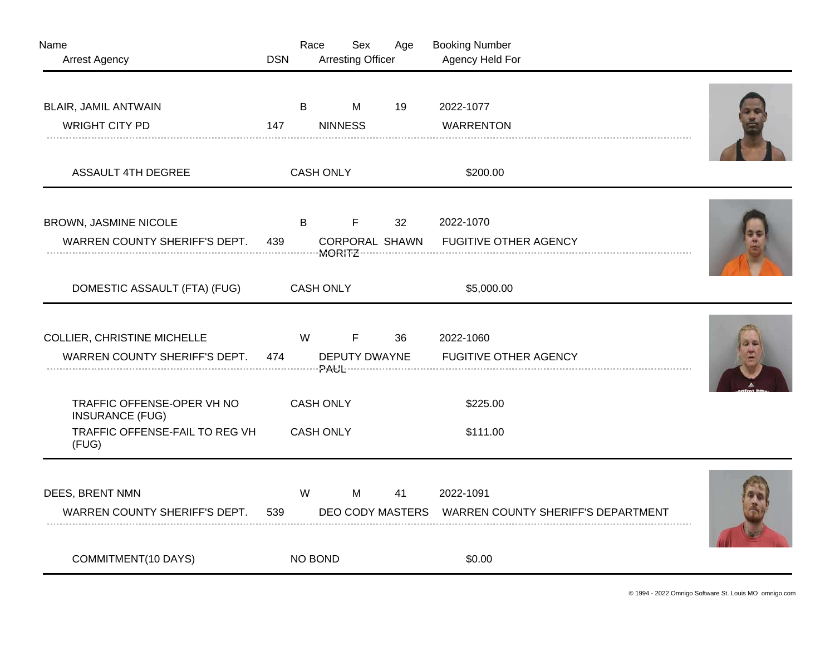| Name<br><b>Arrest Agency</b>                                                                    | <b>DSN</b> | Race                                 | Sex<br><b>Arresting Officer</b> | Age                                      | <b>Booking Number</b><br>Agency Held For                         |  |
|-------------------------------------------------------------------------------------------------|------------|--------------------------------------|---------------------------------|------------------------------------------|------------------------------------------------------------------|--|
| <b>BLAIR, JAMIL ANTWAIN</b><br><b>WRIGHT CITY PD</b>                                            | 147        | B                                    | M<br><b>NINNESS</b>             | 19                                       | 2022-1077<br><b>WARRENTON</b>                                    |  |
| <b>ASSAULT 4TH DEGREE</b>                                                                       |            | <b>CASH ONLY</b>                     |                                 |                                          | \$200.00                                                         |  |
| BROWN, JASMINE NICOLE<br>WARREN COUNTY SHERIFF'S DEPT.                                          | 439        | B                                    | F.                              | 32 <sup>2</sup><br><b>CORPORAL SHAWN</b> | 2022-1070<br><b>FUGITIVE OTHER AGENCY</b>                        |  |
| DOMESTIC ASSAULT (FTA) (FUG)                                                                    |            | <b>CASH ONLY</b>                     |                                 |                                          | \$5,000.00                                                       |  |
| <b>COLLIER, CHRISTINE MICHELLE</b><br>WARREN COUNTY SHERIFF'S DEPT.                             | 474        | W                                    | F.<br><b>DEPUTY DWAYNE</b>      | 36                                       | 2022-1060<br><b>FUGITIVE OTHER AGENCY</b>                        |  |
| TRAFFIC OFFENSE-OPER VH NO<br><b>INSURANCE (FUG)</b><br>TRAFFIC OFFENSE-FAIL TO REG VH<br>(FUG) |            | <b>CASH ONLY</b><br><b>CASH ONLY</b> |                                 |                                          | \$225.00<br>\$111.00                                             |  |
| DEES, BRENT NMN<br>WARREN COUNTY SHERIFF'S DEPT.                                                | 539        | W                                    | M                               | 41                                       | 2022-1091<br>DEO CODY MASTERS WARREN COUNTY SHERIFF'S DEPARTMENT |  |
| COMMITMENT(10 DAYS)                                                                             |            | NO BOND                              |                                 |                                          | \$0.00                                                           |  |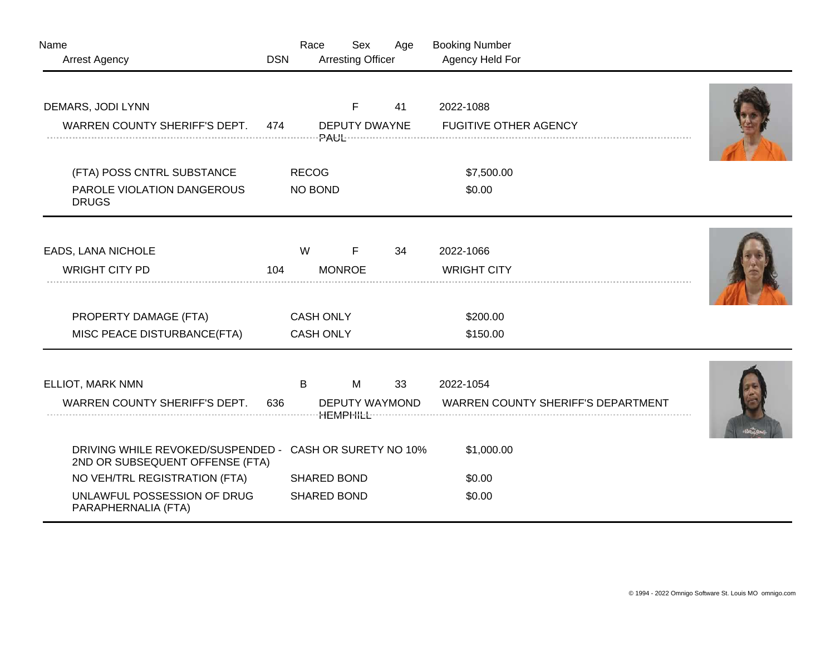| Name                                                                                       |            | Race             | Sex                      | Age | <b>Booking Number</b>                     |  |
|--------------------------------------------------------------------------------------------|------------|------------------|--------------------------|-----|-------------------------------------------|--|
| <b>Arrest Agency</b>                                                                       | <b>DSN</b> |                  | <b>Arresting Officer</b> |     | Agency Held For                           |  |
| DEMARS, JODI LYNN                                                                          |            |                  | F                        | 41  | 2022-1088                                 |  |
| WARREN COUNTY SHERIFF'S DEPT.                                                              | 474        |                  | DEPUTY DWAYNE            |     | <b>FUGITIVE OTHER AGENCY</b>              |  |
| (FTA) POSS CNTRL SUBSTANCE                                                                 |            | <b>RECOG</b>     |                          |     | \$7,500.00                                |  |
| PAROLE VIOLATION DANGEROUS<br><b>DRUGS</b>                                                 |            | NO BOND          |                          |     | \$0.00                                    |  |
| <b>EADS, LANA NICHOLE</b>                                                                  |            | W                | F                        | 34  | 2022-1066                                 |  |
| <b>WRIGHT CITY PD</b>                                                                      | 104        |                  | <b>MONROE</b>            |     | <b>WRIGHT CITY</b>                        |  |
| PROPERTY DAMAGE (FTA)                                                                      |            | <b>CASH ONLY</b> |                          |     | \$200.00                                  |  |
| MISC PEACE DISTURBANCE(FTA)                                                                |            | <b>CASH ONLY</b> |                          |     | \$150.00                                  |  |
|                                                                                            |            |                  |                          |     |                                           |  |
| ELLIOT, MARK NMN                                                                           |            | B                | M                        | 33  | 2022-1054                                 |  |
| WARREN COUNTY SHERIFF'S DEPT.                                                              | 636        | DEPUTY WAYMOND   |                          |     | <b>WARREN COUNTY SHERIFF'S DEPARTMENT</b> |  |
| DRIVING WHILE REVOKED/SUSPENDED - CASH OR SURETY NO 10%<br>2ND OR SUBSEQUENT OFFENSE (FTA) |            |                  |                          |     | \$1,000.00                                |  |
| NO VEH/TRL REGISTRATION (FTA)                                                              |            |                  | <b>SHARED BOND</b>       |     | \$0.00                                    |  |
| UNLAWFUL POSSESSION OF DRUG<br>PARAPHERNALIA (FTA)                                         |            |                  | <b>SHARED BOND</b>       |     | \$0.00                                    |  |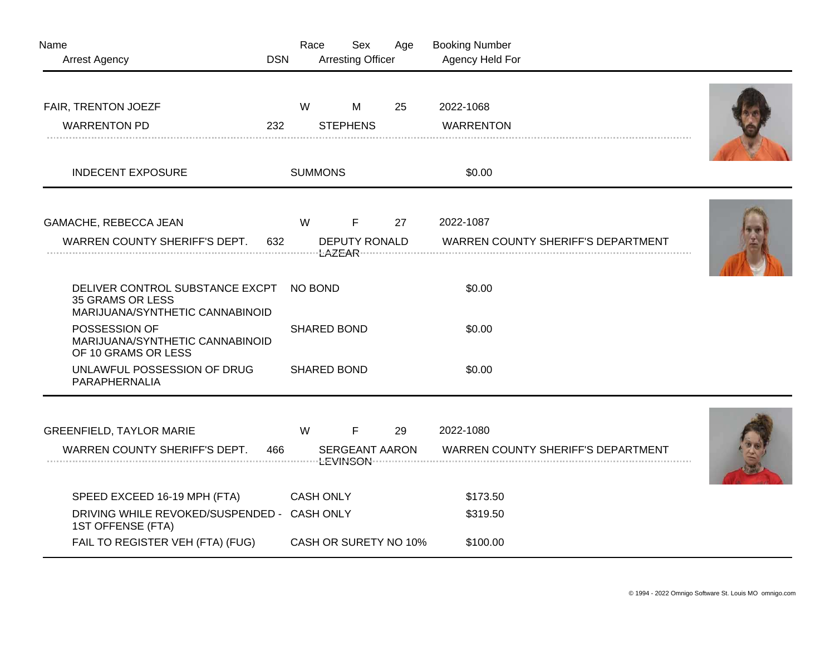| Name<br><b>Arrest Agency</b>                                                                     | <b>DSN</b> | Race               | Sex<br><b>Arresting Officer</b>      | Age | <b>Booking Number</b><br>Agency Held For               |  |
|--------------------------------------------------------------------------------------------------|------------|--------------------|--------------------------------------|-----|--------------------------------------------------------|--|
| FAIR, TRENTON JOEZF<br><b>WARRENTON PD</b>                                                       | 232        | W                  | M<br><b>STEPHENS</b>                 | 25  | 2022-1068<br><b>WARRENTON</b>                          |  |
| <b>INDECENT EXPOSURE</b>                                                                         |            | <b>SUMMONS</b>     |                                      |     | \$0.00                                                 |  |
| GAMACHE, REBECCA JEAN<br>WARREN COUNTY SHERIFF'S DEPT.                                           | 632        | W                  | F<br><b>DEPUTY RONALD</b>            | 27  | 2022-1087<br><b>WARREN COUNTY SHERIFF'S DEPARTMENT</b> |  |
| DELIVER CONTROL SUBSTANCE EXCPT<br>35 GRAMS OR LESS<br>MARIJUANA/SYNTHETIC CANNABINOID           |            | NO BOND            |                                      |     | \$0.00                                                 |  |
| POSSESSION OF<br>MARIJUANA/SYNTHETIC CANNABINOID<br>OF 10 GRAMS OR LESS                          |            | <b>SHARED BOND</b> |                                      |     | \$0.00                                                 |  |
| UNLAWFUL POSSESSION OF DRUG<br>PARAPHERNALIA                                                     |            |                    | <b>SHARED BOND</b>                   |     | \$0.00                                                 |  |
| <b>GREENFIELD, TAYLOR MARIE</b><br>WARREN COUNTY SHERIFF'S DEPT.                                 | 466        | W                  | $\mathsf F$<br><b>SERGEANT AARON</b> | 29  | 2022-1080<br>WARREN COUNTY SHERIFF'S DEPARTMENT        |  |
|                                                                                                  |            |                    |                                      |     |                                                        |  |
| SPEED EXCEED 16-19 MPH (FTA)<br>DRIVING WHILE REVOKED/SUSPENDED - CASH ONLY<br>1ST OFFENSE (FTA) |            | <b>CASH ONLY</b>   |                                      |     | \$173.50<br>\$319.50                                   |  |
| FAIL TO REGISTER VEH (FTA) (FUG)                                                                 |            |                    | CASH OR SURETY NO 10%                |     | \$100.00                                               |  |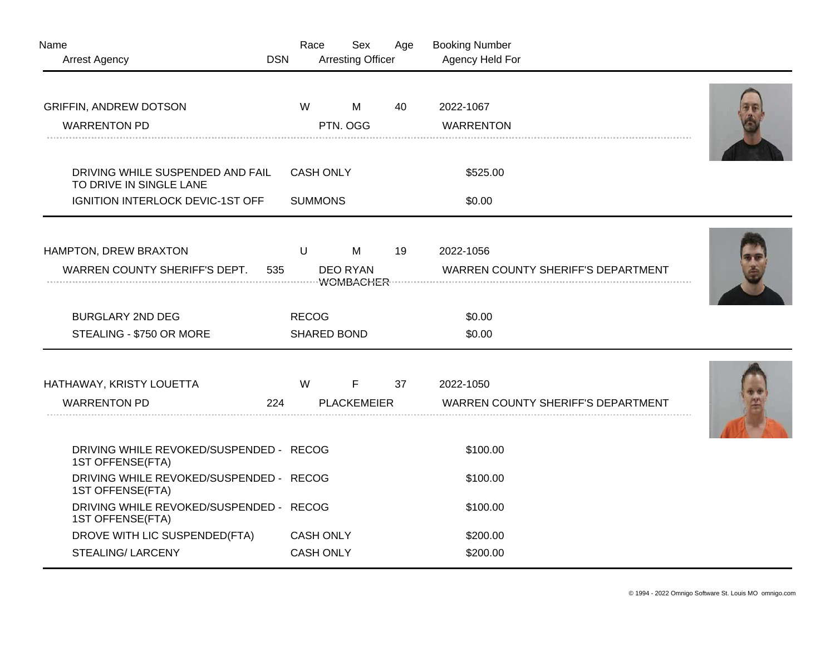| Name<br><b>Arrest Agency</b>                                                                           | <b>DSN</b> | Race                               | Sex<br><b>Arresting Officer</b>    | Age | <b>Booking Number</b><br>Agency Held For               |  |
|--------------------------------------------------------------------------------------------------------|------------|------------------------------------|------------------------------------|-----|--------------------------------------------------------|--|
| <b>GRIFFIN, ANDREW DOTSON</b>                                                                          |            | W                                  | M                                  | 40  | 2022-1067                                              |  |
| <b>WARRENTON PD</b>                                                                                    |            |                                    | PTN. OGG                           |     | <b>WARRENTON</b>                                       |  |
|                                                                                                        |            |                                    |                                    |     |                                                        |  |
| DRIVING WHILE SUSPENDED AND FAIL<br>TO DRIVE IN SINGLE LANE                                            |            | <b>CASH ONLY</b>                   |                                    |     | \$525.00                                               |  |
| IGNITION INTERLOCK DEVIC-1ST OFF                                                                       |            | <b>SUMMONS</b>                     |                                    |     | \$0.00                                                 |  |
| HAMPTON, DREW BRAXTON<br>WARREN COUNTY SHERIFF'S DEPT.                                                 | 535        | $\sf U$                            | M<br><b>DEO RYAN</b>               | 19  | 2022-1056<br><b>WARREN COUNTY SHERIFF'S DEPARTMENT</b> |  |
| <b>BURGLARY 2ND DEG</b><br>STEALING - \$750 OR MORE                                                    |            | <b>RECOG</b><br><b>SHARED BOND</b> |                                    |     | \$0.00<br>\$0.00                                       |  |
| HATHAWAY, KRISTY LOUETTA<br><b>WARRENTON PD</b>                                                        | 224        | W                                  | $\mathsf{F}$<br><b>PLACKEMEIER</b> | 37  | 2022-1050<br><b>WARREN COUNTY SHERIFF'S DEPARTMENT</b> |  |
| DRIVING WHILE REVOKED/SUSPENDED - RECOG<br>1ST OFFENSE(FTA)<br>DRIVING WHILE REVOKED/SUSPENDED - RECOG |            |                                    |                                    |     | \$100.00                                               |  |
| 1ST OFFENSE(FTA)                                                                                       |            |                                    |                                    |     | \$100.00                                               |  |
| DRIVING WHILE REVOKED/SUSPENDED - RECOG<br>1ST OFFENSE(FTA)                                            |            |                                    |                                    |     | \$100.00                                               |  |
| DROVE WITH LIC SUSPENDED(FTA)                                                                          |            | <b>CASH ONLY</b>                   |                                    |     | \$200.00                                               |  |
| <b>STEALING/ LARCENY</b>                                                                               |            | <b>CASH ONLY</b>                   |                                    |     | \$200.00                                               |  |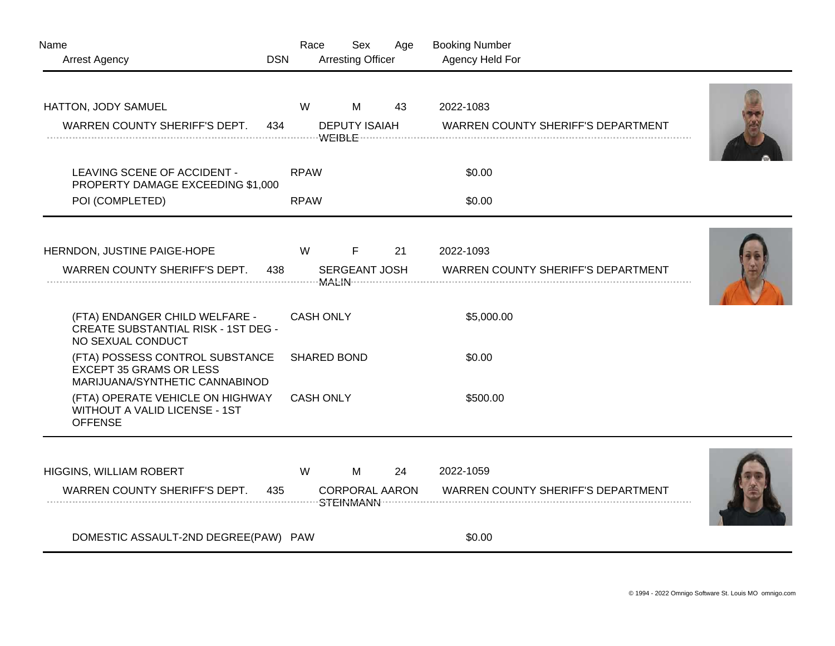| Name<br><b>Arrest Agency</b>                                                                        | <b>DSN</b> | Race               | Sex<br><b>Arresting Officer</b> | Age | <b>Booking Number</b><br>Agency Held For               |  |
|-----------------------------------------------------------------------------------------------------|------------|--------------------|---------------------------------|-----|--------------------------------------------------------|--|
| HATTON, JODY SAMUEL<br>WARREN COUNTY SHERIFF'S DEPT.                                                | 434        | W                  | M<br><b>DEPUTY ISAIAH</b>       | 43  | 2022-1083<br><b>WARREN COUNTY SHERIFF'S DEPARTMENT</b> |  |
| LEAVING SCENE OF ACCIDENT -<br>PROPERTY DAMAGE EXCEEDING \$1,000                                    |            | <b>RPAW</b>        |                                 |     | \$0.00                                                 |  |
| POI (COMPLETED)                                                                                     |            | <b>RPAW</b>        |                                 |     | \$0.00                                                 |  |
| HERNDON, JUSTINE PAIGE-HOPE<br>WARREN COUNTY SHERIFF'S DEPT.                                        | 438        | W                  | F<br>SERGEANT JOSH              | 21  | 2022-1093<br><b>WARREN COUNTY SHERIFF'S DEPARTMENT</b> |  |
| (FTA) ENDANGER CHILD WELFARE -<br><b>CREATE SUBSTANTIAL RISK - 1ST DEG -</b><br>NO SEXUAL CONDUCT   |            | <b>CASH ONLY</b>   |                                 |     | \$5,000.00                                             |  |
| (FTA) POSSESS CONTROL SUBSTANCE<br><b>EXCEPT 35 GRAMS OR LESS</b><br>MARIJUANA/SYNTHETIC CANNABINOD |            | <b>SHARED BOND</b> |                                 |     | \$0.00                                                 |  |
| (FTA) OPERATE VEHICLE ON HIGHWAY<br><b>WITHOUT A VALID LICENSE - 1ST</b><br><b>OFFENSE</b>          |            | <b>CASH ONLY</b>   |                                 |     | \$500.00                                               |  |
| HIGGINS, WILLIAM ROBERT<br>WARREN COUNTY SHERIFF'S DEPT.                                            | 435        | W                  | M<br><b>CORPORAL AARON</b>      | 24  | 2022-1059<br>WARREN COUNTY SHERIFF'S DEPARTMENT        |  |
| DOMESTIC ASSAULT-2ND DEGREE(PAW) PAW                                                                |            |                    |                                 |     | \$0.00                                                 |  |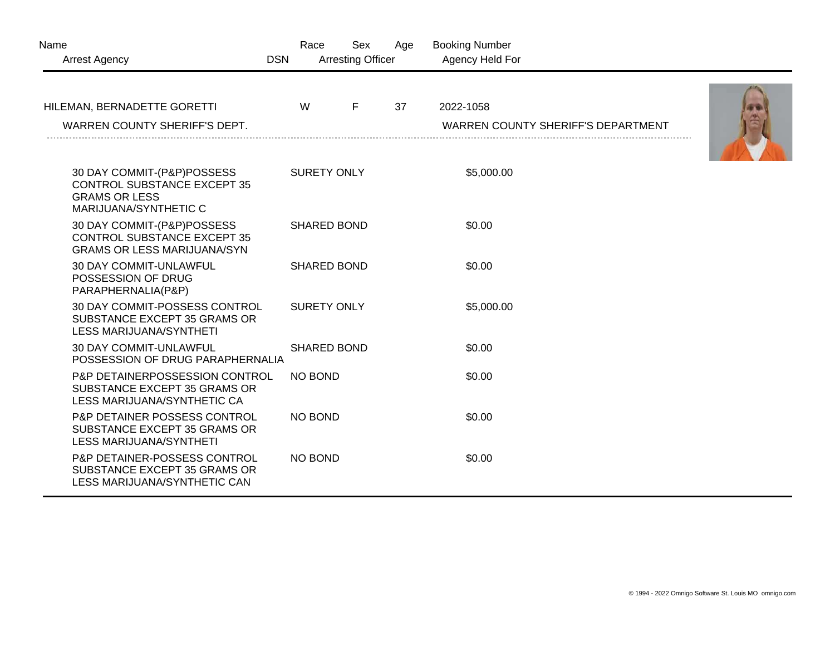| Name<br><b>DSN</b><br><b>Arrest Agency</b>                                                                        | Race               | Sex<br><b>Arresting Officer</b> | Age | <b>Booking Number</b><br>Agency Held For  |  |
|-------------------------------------------------------------------------------------------------------------------|--------------------|---------------------------------|-----|-------------------------------------------|--|
| HILEMAN, BERNADETTE GORETTI                                                                                       | W                  | F                               | 37  | 2022-1058                                 |  |
| WARREN COUNTY SHERIFF'S DEPT.                                                                                     |                    |                                 |     | <b>WARREN COUNTY SHERIFF'S DEPARTMENT</b> |  |
| 30 DAY COMMIT-(P&P)POSSESS<br><b>CONTROL SUBSTANCE EXCEPT 35</b><br><b>GRAMS OR LESS</b><br>MARIJUANA/SYNTHETIC C | <b>SURETY ONLY</b> |                                 |     | \$5,000.00                                |  |
| 30 DAY COMMIT-(P&P)POSSESS<br><b>CONTROL SUBSTANCE EXCEPT 35</b><br><b>GRAMS OR LESS MARIJUANA/SYN</b>            | <b>SHARED BOND</b> |                                 |     | \$0.00                                    |  |
| <b>30 DAY COMMIT-UNLAWFUL</b><br>POSSESSION OF DRUG<br>PARAPHERNALIA(P&P)                                         | <b>SHARED BOND</b> |                                 |     | \$0.00                                    |  |
| 30 DAY COMMIT-POSSESS CONTROL<br>SUBSTANCE EXCEPT 35 GRAMS OR<br>LESS MARIJUANA/SYNTHETI                          | <b>SURETY ONLY</b> |                                 |     | \$5,000.00                                |  |
| <b>30 DAY COMMIT-UNLAWFUL</b><br>POSSESSION OF DRUG PARAPHERNALIA                                                 | <b>SHARED BOND</b> |                                 |     | \$0.00                                    |  |
| P&P DETAINERPOSSESSION CONTROL<br>SUBSTANCE EXCEPT 35 GRAMS OR<br>LESS MARIJUANA/SYNTHETIC CA                     | <b>NO BOND</b>     |                                 |     | \$0.00                                    |  |
| P&P DETAINER POSSESS CONTROL<br>SUBSTANCE EXCEPT 35 GRAMS OR<br>LESS MARIJUANA/SYNTHETI                           | <b>NO BOND</b>     |                                 |     | \$0.00                                    |  |
| P&P DETAINER-POSSESS CONTROL<br>SUBSTANCE EXCEPT 35 GRAMS OR<br>LESS MARIJUANA/SYNTHETIC CAN                      | <b>NO BOND</b>     |                                 |     | \$0.00                                    |  |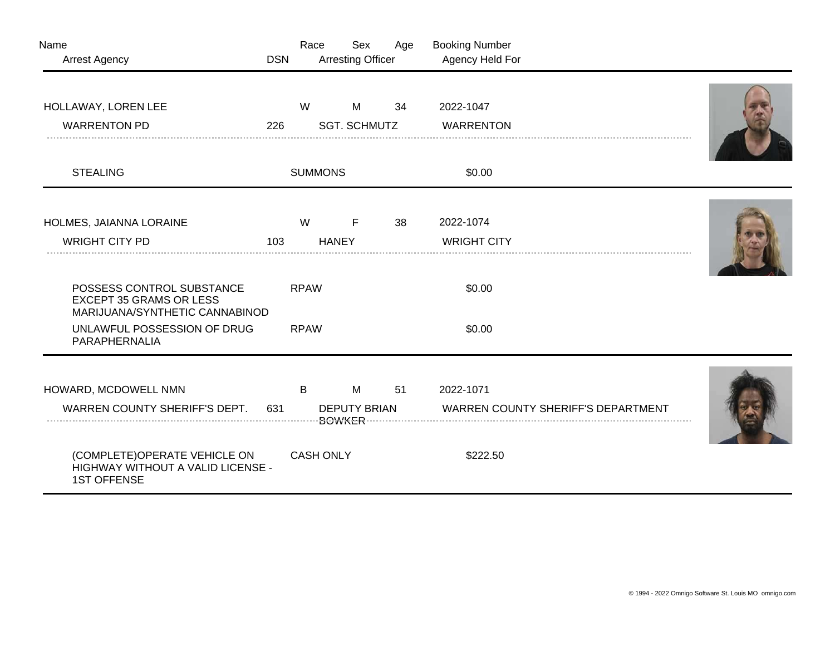| Name<br><b>Arrest Agency</b>                                                                  | <b>DSN</b>                 | Race             | Sex<br><b>Arresting Officer</b> | Age | <b>Booking Number</b><br>Agency Held For  |  |  |
|-----------------------------------------------------------------------------------------------|----------------------------|------------------|---------------------------------|-----|-------------------------------------------|--|--|
| HOLLAWAY, LOREN LEE                                                                           |                            | W                | M                               | 34  | 2022-1047                                 |  |  |
| <b>WARRENTON PD</b>                                                                           | 226                        |                  | <b>SGT. SCHMUTZ</b>             |     | <b>WARRENTON</b>                          |  |  |
| <b>STEALING</b>                                                                               |                            | <b>SUMMONS</b>   |                                 |     | \$0.00                                    |  |  |
| HOLMES, JAIANNA LORAINE                                                                       |                            | W                | F                               | 38  | 2022-1074                                 |  |  |
| <b>WRIGHT CITY PD</b>                                                                         | 103                        |                  | <b>HANEY</b>                    |     | <b>WRIGHT CITY</b>                        |  |  |
| POSSESS CONTROL SUBSTANCE<br><b>EXCEPT 35 GRAMS OR LESS</b><br>MARIJUANA/SYNTHETIC CANNABINOD |                            | <b>RPAW</b>      |                                 |     | \$0.00                                    |  |  |
| UNLAWFUL POSSESSION OF DRUG<br>PARAPHERNALIA                                                  |                            | <b>RPAW</b>      |                                 |     | \$0.00                                    |  |  |
|                                                                                               |                            |                  |                                 |     |                                           |  |  |
| HOWARD, MCDOWELL NMN                                                                          |                            | B                | M                               | 51  | 2022-1071                                 |  |  |
| WARREN COUNTY SHERIFF'S DEPT.                                                                 | <b>DEPUTY BRIAN</b><br>631 |                  |                                 |     | <b>WARREN COUNTY SHERIFF'S DEPARTMENT</b> |  |  |
| (COMPLETE)OPERATE VEHICLE ON<br>HIGHWAY WITHOUT A VALID LICENSE -<br><b>1ST OFFENSE</b>       |                            | <b>CASH ONLY</b> |                                 |     | \$222.50                                  |  |  |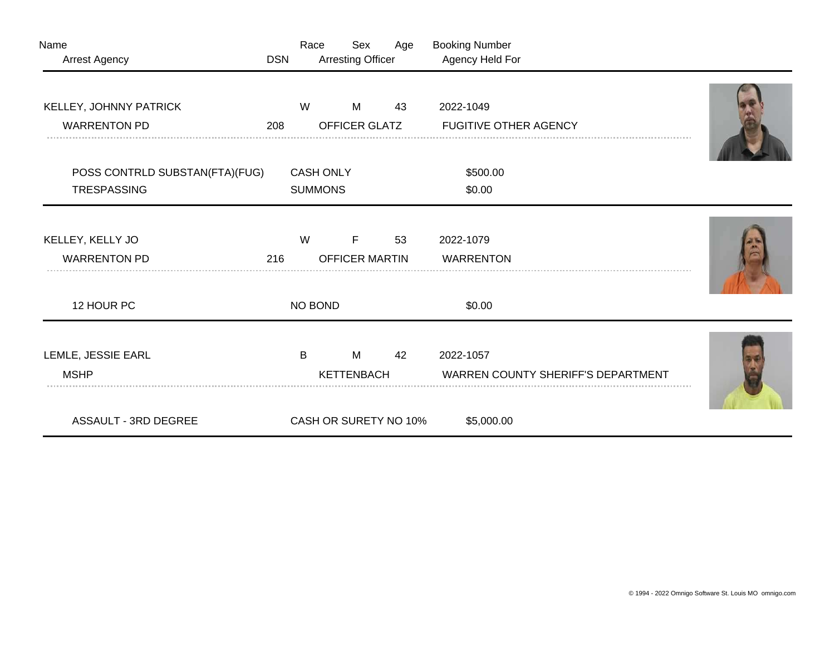| Name<br>Arrest Agency          | <b>DSN</b> | Race             | Sex<br><b>Arresting Officer</b> | Age | <b>Booking Number</b><br>Agency Held For  |   |
|--------------------------------|------------|------------------|---------------------------------|-----|-------------------------------------------|---|
|                                |            |                  |                                 |     |                                           |   |
| KELLEY, JOHNNY PATRICK         |            | W                | M                               | 43  | 2022-1049                                 |   |
| <b>WARRENTON PD</b>            | 208        |                  | OFFICER GLATZ                   |     | <b>FUGITIVE OTHER AGENCY</b>              |   |
|                                |            |                  |                                 |     |                                           |   |
| POSS CONTRLD SUBSTAN(FTA)(FUG) |            | <b>CASH ONLY</b> |                                 |     | \$500.00                                  |   |
| <b>TRESPASSING</b>             |            | <b>SUMMONS</b>   |                                 |     | \$0.00                                    |   |
|                                |            |                  |                                 |     |                                           |   |
| KELLEY, KELLY JO               |            | W                | F                               | 53  | 2022-1079                                 |   |
| <b>WARRENTON PD</b>            | 216        |                  | <b>OFFICER MARTIN</b>           |     | <b>WARRENTON</b>                          |   |
|                                |            |                  |                                 |     |                                           |   |
| 12 HOUR PC                     |            | <b>NO BOND</b>   |                                 |     | \$0.00                                    |   |
|                                |            |                  |                                 |     |                                           |   |
| LEMLE, JESSIE EARL             |            | B                | M                               | 42  | 2022-1057                                 |   |
| <b>MSHP</b>                    |            |                  | <b>KETTENBACH</b>               |     | <b>WARREN COUNTY SHERIFF'S DEPARTMENT</b> | . |
|                                |            |                  |                                 |     |                                           |   |
| <b>ASSAULT - 3RD DEGREE</b>    |            |                  | CASH OR SURETY NO 10%           |     | \$5,000.00                                |   |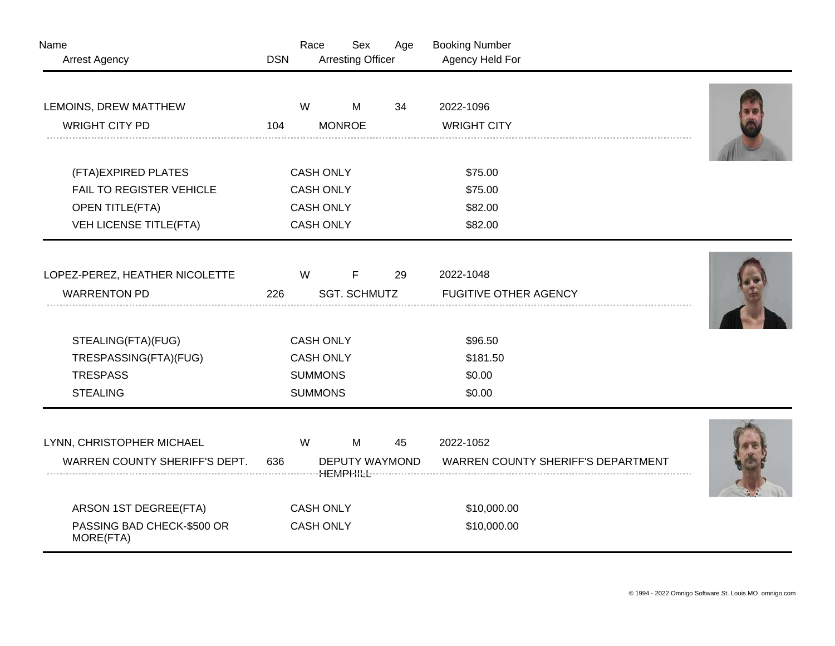| Name<br><b>Arrest Agency</b>            | <b>DSN</b> | Race             | Sex<br><b>Arresting Officer</b> | Age | <b>Booking Number</b><br>Agency Held For  |  |
|-----------------------------------------|------------|------------------|---------------------------------|-----|-------------------------------------------|--|
| LEMOINS, DREW MATTHEW                   |            | W                | M                               | 34  | 2022-1096                                 |  |
| <b>WRIGHT CITY PD</b>                   | 104        |                  | <b>MONROE</b>                   |     | <b>WRIGHT CITY</b>                        |  |
|                                         |            |                  |                                 |     |                                           |  |
| (FTA)EXPIRED PLATES                     |            |                  | <b>CASH ONLY</b>                |     | \$75.00                                   |  |
| FAIL TO REGISTER VEHICLE                |            | <b>CASH ONLY</b> |                                 |     | \$75.00                                   |  |
| <b>OPEN TITLE(FTA)</b>                  |            | <b>CASH ONLY</b> |                                 |     | \$82.00                                   |  |
| VEH LICENSE TITLE(FTA)                  |            |                  | <b>CASH ONLY</b>                |     | \$82.00                                   |  |
|                                         |            |                  |                                 |     |                                           |  |
| LOPEZ-PEREZ, HEATHER NICOLETTE          |            | W                | F                               | 29  | 2022-1048                                 |  |
| <b>WARRENTON PD</b>                     | 226        |                  | <b>SGT. SCHMUTZ</b>             |     | <b>FUGITIVE OTHER AGENCY</b>              |  |
|                                         |            |                  |                                 |     |                                           |  |
| STEALING(FTA)(FUG)                      |            |                  | <b>CASH ONLY</b>                |     | \$96.50                                   |  |
| TRESPASSING(FTA)(FUG)                   |            | <b>CASH ONLY</b> |                                 |     | \$181.50                                  |  |
| <b>TRESPASS</b>                         |            | <b>SUMMONS</b>   |                                 |     | \$0.00                                    |  |
| <b>STEALING</b>                         |            | <b>SUMMONS</b>   |                                 |     | \$0.00                                    |  |
|                                         |            |                  |                                 |     |                                           |  |
| LYNN, CHRISTOPHER MICHAEL               |            | W                | M                               | 45  | 2022-1052                                 |  |
| WARREN COUNTY SHERIFF'S DEPT.           | 636        |                  | DEPUTY WAYMOND                  |     | <b>WARREN COUNTY SHERIFF'S DEPARTMENT</b> |  |
|                                         |            |                  |                                 |     |                                           |  |
| ARSON 1ST DEGREE(FTA)                   |            |                  | <b>CASH ONLY</b>                |     | \$10,000.00                               |  |
| PASSING BAD CHECK-\$500 OR<br>MORE(FTA) |            | <b>CASH ONLY</b> |                                 |     | \$10,000.00                               |  |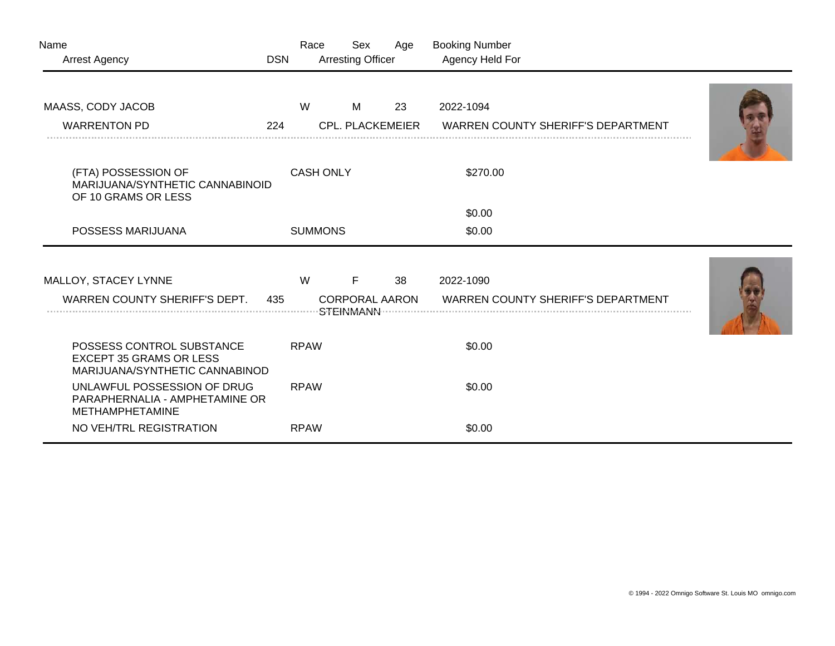| Name<br><b>Arrest Agency</b>                                                                  | <b>DSN</b> | Race             | Sex<br><b>Arresting Officer</b>                        | Age | <b>Booking Number</b><br>Agency Held For               |  |
|-----------------------------------------------------------------------------------------------|------------|------------------|--------------------------------------------------------|-----|--------------------------------------------------------|--|
| MAASS, CODY JACOB                                                                             |            | W                | M                                                      | 23  | 2022-1094                                              |  |
| <b>WARRENTON PD</b>                                                                           | 224        |                  | <b>CPL. PLACKEMEIER</b>                                |     | <b>WARREN COUNTY SHERIFF'S DEPARTMENT</b>              |  |
| (FTA) POSSESSION OF<br>MARIJUANA/SYNTHETIC CANNABINOID<br>OF 10 GRAMS OR LESS                 |            | <b>CASH ONLY</b> |                                                        |     | \$270.00                                               |  |
|                                                                                               |            |                  |                                                        |     | \$0.00                                                 |  |
| POSSESS MARIJUANA                                                                             |            | <b>SUMMONS</b>   |                                                        |     | \$0.00                                                 |  |
| MALLOY, STACEY LYNNE<br>WARREN COUNTY SHERIFF'S DEPT.                                         | 435        | W                | F<br><b>CORPORAL AARON</b><br>·STE <del>I</del> NMANN· | 38  | 2022-1090<br><b>WARREN COUNTY SHERIFF'S DEPARTMENT</b> |  |
| POSSESS CONTROL SUBSTANCE<br><b>EXCEPT 35 GRAMS OR LESS</b><br>MARIJUANA/SYNTHETIC CANNABINOD |            | <b>RPAW</b>      |                                                        |     | \$0.00                                                 |  |
| UNLAWFUL POSSESSION OF DRUG<br>PARAPHERNALIA - AMPHETAMINE OR<br>METHAMPHETAMINE              |            | <b>RPAW</b>      |                                                        |     | \$0.00                                                 |  |
| NO VEH/TRL REGISTRATION                                                                       |            | <b>RPAW</b>      |                                                        |     | \$0.00                                                 |  |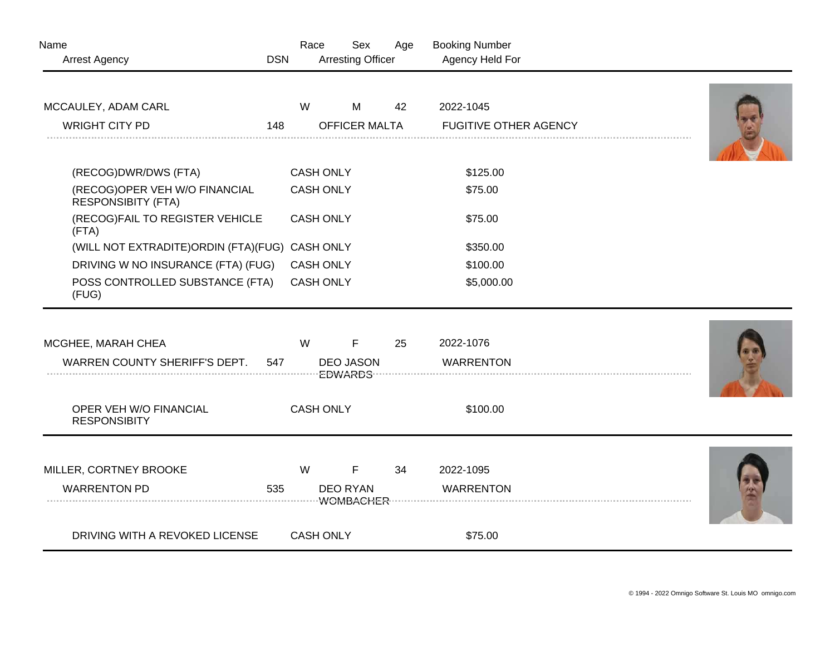| Name                                                       |            | Race             | Sex                      | Age | <b>Booking Number</b>        |  |
|------------------------------------------------------------|------------|------------------|--------------------------|-----|------------------------------|--|
| <b>Arrest Agency</b>                                       | <b>DSN</b> |                  | <b>Arresting Officer</b> |     | Agency Held For              |  |
| MCCAULEY, ADAM CARL                                        |            | W                | M                        | 42  | 2022-1045                    |  |
| <b>WRIGHT CITY PD</b>                                      | 148        |                  | <b>OFFICER MALTA</b>     |     | <b>FUGITIVE OTHER AGENCY</b> |  |
| (RECOG)DWR/DWS (FTA)                                       |            | <b>CASH ONLY</b> |                          |     | \$125.00                     |  |
| (RECOG)OPER VEH W/O FINANCIAL<br><b>RESPONSIBITY (FTA)</b> |            | <b>CASH ONLY</b> |                          |     | \$75.00                      |  |
| (RECOG)FAIL TO REGISTER VEHICLE<br>(FTA)                   |            | <b>CASH ONLY</b> |                          |     | \$75.00                      |  |
| (WILL NOT EXTRADITE)ORDIN (FTA)(FUG) CASH ONLY             |            |                  |                          |     | \$350.00                     |  |
| DRIVING W NO INSURANCE (FTA) (FUG)                         |            | <b>CASH ONLY</b> |                          |     | \$100.00                     |  |
| POSS CONTROLLED SUBSTANCE (FTA)<br>(FUG)                   |            | <b>CASH ONLY</b> |                          |     | \$5,000.00                   |  |
|                                                            |            |                  |                          |     |                              |  |
| MCGHEE, MARAH CHEA                                         |            | W                | $\mathsf F$              | 25  | 2022-1076                    |  |
| WARREN COUNTY SHERIFF'S DEPT.                              | 547        |                  | <b>DEO JASON</b>         |     | <b>WARRENTON</b>             |  |
| OPER VEH W/O FINANCIAL<br><b>RESPONSIBITY</b>              |            | <b>CASH ONLY</b> |                          |     | \$100.00                     |  |
| MILLER, CORTNEY BROOKE                                     |            | W                | F                        | 34  | 2022-1095                    |  |
| <b>WARRENTON PD</b>                                        | 535        |                  | <b>DEO RYAN</b>          |     | <b>WARRENTON</b>             |  |
| DRIVING WITH A REVOKED LICENSE                             |            | <b>CASH ONLY</b> |                          |     | \$75.00                      |  |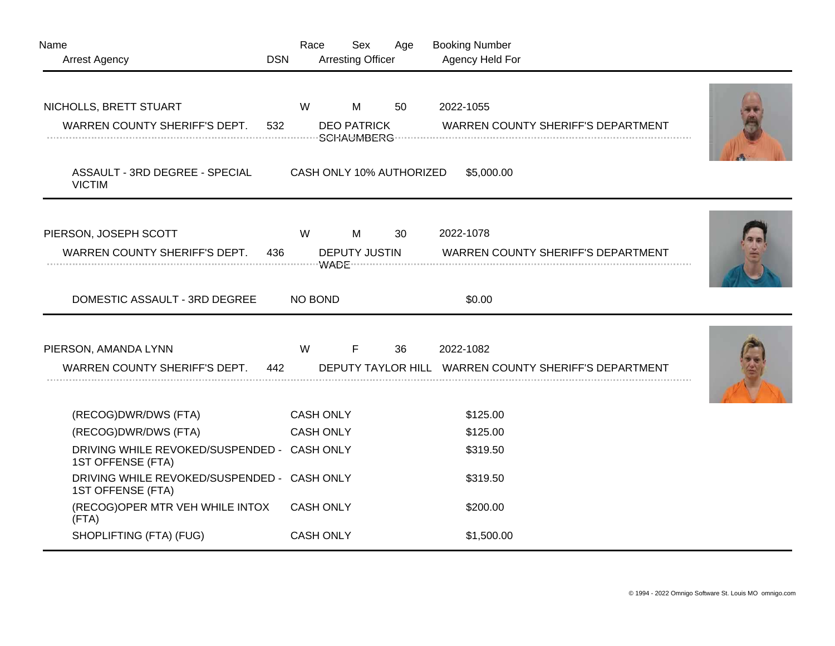| Name<br><b>Arrest Agency</b>                                                              | <b>DSN</b> | Race                          | Sex<br><b>Arresting Officer</b>         | Age | <b>Booking Number</b><br>Agency Held For |                                                       |  |
|-------------------------------------------------------------------------------------------|------------|-------------------------------|-----------------------------------------|-----|------------------------------------------|-------------------------------------------------------|--|
| NICHOLLS, BRETT STUART<br>WARREN COUNTY SHERIFF'S DEPT.<br>ASSAULT - 3RD DEGREE - SPECIAL | 532        | W<br>CASH ONLY 10% AUTHORIZED | M<br><b>DEO PATRICK</b><br>-SCHAUMBERG- | 50  | 2022-1055<br>\$5,000.00                  | <b>WARREN COUNTY SHERIFF'S DEPARTMENT</b>             |  |
| <b>VICTIM</b>                                                                             |            |                               |                                         |     |                                          |                                                       |  |
| PIERSON, JOSEPH SCOTT<br>WARREN COUNTY SHERIFF'S DEPT.                                    | 436        | W                             | M<br><b>DEPUTY JUSTIN</b>               | 30  | 2022-1078                                | <b>WARREN COUNTY SHERIFF'S DEPARTMENT</b>             |  |
| DOMESTIC ASSAULT - 3RD DEGREE                                                             |            | <b>NO BOND</b>                |                                         |     | \$0.00                                   |                                                       |  |
| PIERSON, AMANDA LYNN<br>WARREN COUNTY SHERIFF'S DEPT.                                     | 442        | W                             | F                                       | 36  | 2022-1082                                | DEPUTY TAYLOR HILL WARREN COUNTY SHERIFF'S DEPARTMENT |  |
| (RECOG)DWR/DWS (FTA)                                                                      |            | <b>CASH ONLY</b>              |                                         |     | \$125.00                                 |                                                       |  |
| (RECOG)DWR/DWS (FTA)                                                                      |            | <b>CASH ONLY</b>              |                                         |     | \$125.00                                 |                                                       |  |
| DRIVING WHILE REVOKED/SUSPENDED - CASH ONLY<br>1ST OFFENSE (FTA)                          |            |                               |                                         |     | \$319.50                                 |                                                       |  |
| DRIVING WHILE REVOKED/SUSPENDED - CASH ONLY<br>1ST OFFENSE (FTA)                          |            |                               |                                         |     | \$319.50                                 |                                                       |  |
| (RECOG)OPER MTR VEH WHILE INTOX<br>(FTA)                                                  |            | <b>CASH ONLY</b>              |                                         |     | \$200.00                                 |                                                       |  |
| SHOPLIFTING (FTA) (FUG)                                                                   |            | <b>CASH ONLY</b>              |                                         |     | \$1,500.00                               |                                                       |  |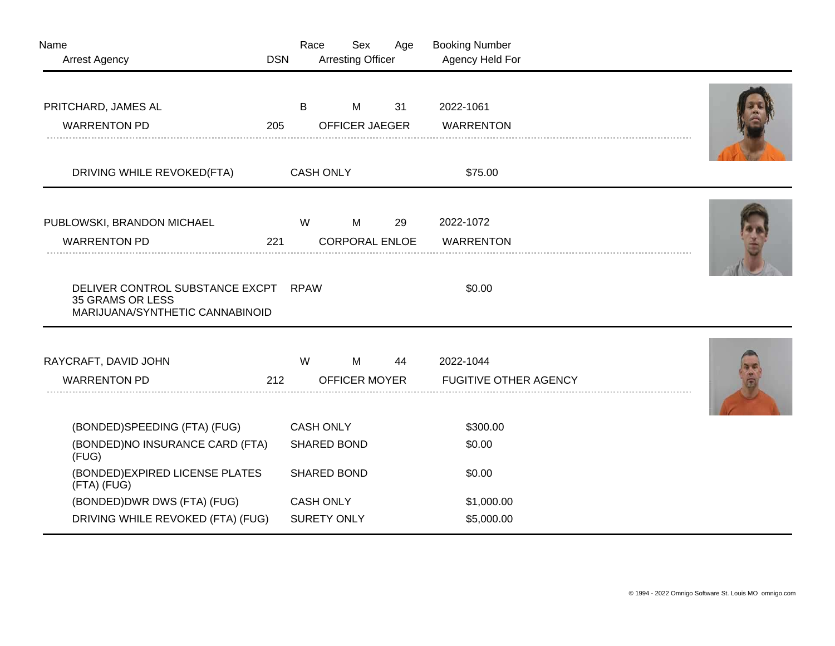| Name<br><b>Arrest Agency</b>                                                                                        | <b>DSN</b> | Race             | Sex<br><b>Arresting Officer</b>          | Age | <b>Booking Number</b><br>Agency Held For  |  |
|---------------------------------------------------------------------------------------------------------------------|------------|------------------|------------------------------------------|-----|-------------------------------------------|--|
| PRITCHARD, JAMES AL<br><b>WARRENTON PD</b>                                                                          | 205        | B                | M<br><b>OFFICER JAEGER</b>               | 31  | 2022-1061<br><b>WARRENTON</b>             |  |
| DRIVING WHILE REVOKED(FTA)                                                                                          |            | <b>CASH ONLY</b> |                                          |     | \$75.00                                   |  |
| PUBLOWSKI, BRANDON MICHAEL<br><b>WARRENTON PD</b>                                                                   | 221        | W                | M<br><b>CORPORAL ENLOE</b>               | 29  | 2022-1072<br><b>WARRENTON</b>             |  |
| DELIVER CONTROL SUBSTANCE EXCPT<br>35 GRAMS OR LESS<br>MARIJUANA/SYNTHETIC CANNABINOID                              |            | <b>RPAW</b>      |                                          |     | \$0.00                                    |  |
| RAYCRAFT, DAVID JOHN<br><b>WARRENTON PD</b>                                                                         | 212        | W                | M<br>OFFICER MOYER                       | 44  | 2022-1044<br><b>FUGITIVE OTHER AGENCY</b> |  |
| (BONDED)SPEEDING (FTA) (FUG)<br>(BONDED)NO INSURANCE CARD (FTA)<br>(FUG)                                            |            | <b>CASH ONLY</b> | <b>SHARED BOND</b>                       |     | \$300.00<br>\$0.00                        |  |
| (BONDED) EXPIRED LICENSE PLATES<br>(FTA) (FUG)<br>(BONDED) DWR DWS (FTA) (FUG)<br>DRIVING WHILE REVOKED (FTA) (FUG) |            | <b>CASH ONLY</b> | <b>SHARED BOND</b><br><b>SURETY ONLY</b> |     | \$0.00<br>\$1,000.00<br>\$5,000.00        |  |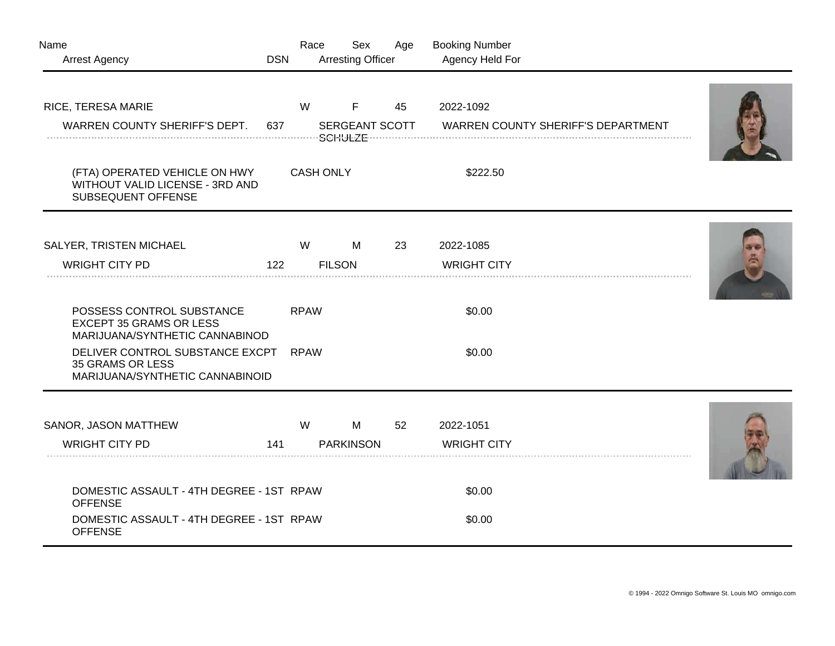| Name                                                                                          | <b>DSN</b> | Race             | Sex<br><b>Arresting Officer</b> | Age | <b>Booking Number</b><br>Agency Held For  |  |
|-----------------------------------------------------------------------------------------------|------------|------------------|---------------------------------|-----|-------------------------------------------|--|
| <b>Arrest Agency</b>                                                                          |            |                  |                                 |     |                                           |  |
| RICE, TERESA MARIE                                                                            |            | W                | F                               | 45  | 2022-1092                                 |  |
| WARREN COUNTY SHERIFF'S DEPT.                                                                 | 637        |                  | SERGEANT SCOTT                  |     | <b>WARREN COUNTY SHERIFF'S DEPARTMENT</b> |  |
| (FTA) OPERATED VEHICLE ON HWY<br>WITHOUT VALID LICENSE - 3RD AND<br>SUBSEQUENT OFFENSE        |            | <b>CASH ONLY</b> |                                 |     | \$222.50                                  |  |
| SALYER, TRISTEN MICHAEL                                                                       |            | W                | M                               | 23  | 2022-1085                                 |  |
| <b>WRIGHT CITY PD</b>                                                                         | 122        |                  | <b>FILSON</b>                   |     | <b>WRIGHT CITY</b>                        |  |
| POSSESS CONTROL SUBSTANCE<br><b>EXCEPT 35 GRAMS OR LESS</b><br>MARIJUANA/SYNTHETIC CANNABINOD |            | <b>RPAW</b>      |                                 |     | \$0.00                                    |  |
| DELIVER CONTROL SUBSTANCE EXCPT<br>35 GRAMS OR LESS<br>MARIJUANA/SYNTHETIC CANNABINOID        |            | <b>RPAW</b>      |                                 |     | \$0.00                                    |  |
| SANOR, JASON MATTHEW                                                                          |            | W                | M                               | 52  | 2022-1051                                 |  |
| <b>WRIGHT CITY PD</b>                                                                         | 141        |                  | <b>PARKINSON</b>                |     | <b>WRIGHT CITY</b>                        |  |
| DOMESTIC ASSAULT - 4TH DEGREE - 1ST RPAW<br><b>OFFENSE</b>                                    |            |                  |                                 |     | \$0.00                                    |  |
| DOMESTIC ASSAULT - 4TH DEGREE - 1ST RPAW<br><b>OFFENSE</b>                                    |            |                  |                                 |     | \$0.00                                    |  |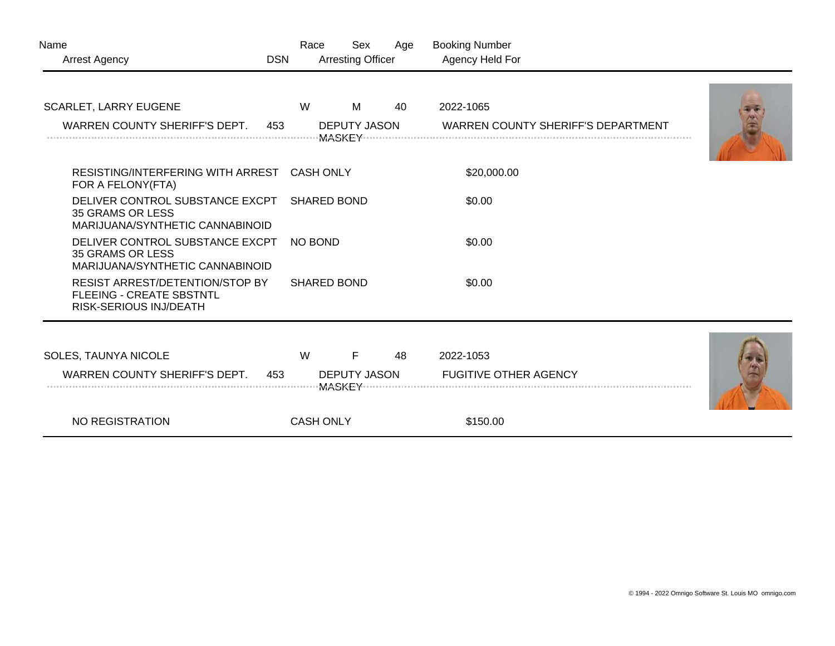| Name<br><b>Arrest Agency</b>                                                                  | <b>DSN</b> | Race               | Sex<br><b>Arresting Officer</b>      | Age | <b>Booking Number</b><br>Agency Held For  |  |
|-----------------------------------------------------------------------------------------------|------------|--------------------|--------------------------------------|-----|-------------------------------------------|--|
| SCARLET, LARRY EUGENE                                                                         |            | W                  | M                                    | 40  | 2022-1065                                 |  |
| WARREN COUNTY SHERIFF'S DEPT.                                                                 | 453        |                    | <b>DEPUTY JASON</b>                  |     | <b>WARREN COUNTY SHERIFF'S DEPARTMENT</b> |  |
| RESISTING/INTERFERING WITH ARREST<br>FOR A FELONY (FTA)                                       |            | <b>CASH ONLY</b>   |                                      |     | \$20,000.00                               |  |
| DELIVER CONTROL SUBSTANCE EXCPT<br><b>35 GRAMS OR LESS</b><br>MARIJUANA/SYNTHETIC CANNABINOID |            | <b>SHARED BOND</b> |                                      |     | \$0.00                                    |  |
| DELIVER CONTROL SUBSTANCE EXCPT<br><b>35 GRAMS OR LESS</b><br>MARIJUANA/SYNTHETIC CANNABINOID |            | <b>NO BOND</b>     |                                      |     | \$0.00                                    |  |
| RESIST ARREST/DETENTION/STOP BY<br><b>FLEEING - CREATE SBSTNTL</b><br>RISK-SERIOUS INJ/DEATH  |            | <b>SHARED BOND</b> |                                      |     | \$0.00                                    |  |
| SOLES, TAUNYA NICOLE                                                                          |            | W                  | F                                    | 48  | 2022-1053                                 |  |
| WARREN COUNTY SHERIFF'S DEPT.                                                                 | 453        |                    | <b>DEPUTY JASON</b><br><b>MASKEY</b> |     | <b>FUGITIVE OTHER AGENCY</b>              |  |
| NO REGISTRATION                                                                               |            | <b>CASH ONLY</b>   |                                      |     | \$150.00                                  |  |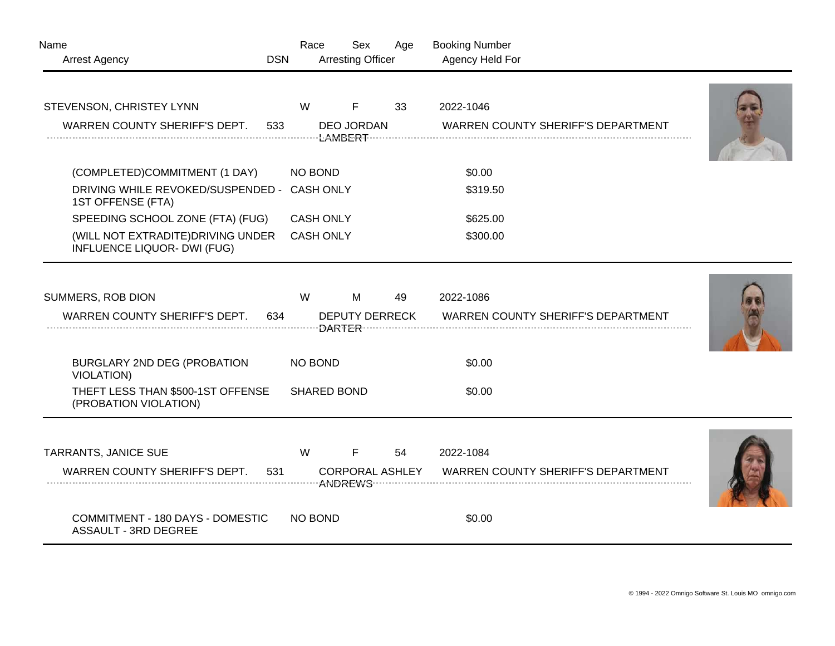| Name                                                              |            | Race             | Sex                      | Age | <b>Booking Number</b>                     |  |
|-------------------------------------------------------------------|------------|------------------|--------------------------|-----|-------------------------------------------|--|
| Arrest Agency                                                     | <b>DSN</b> |                  | <b>Arresting Officer</b> |     | Agency Held For                           |  |
| STEVENSON, CHRISTEY LYNN                                          |            | W                | F                        | 33  | 2022-1046                                 |  |
| WARREN COUNTY SHERIFF'S DEPT.                                     | 533        |                  | <b>DEO JORDAN</b>        |     | <b>WARREN COUNTY SHERIFF'S DEPARTMENT</b> |  |
| (COMPLETED)COMMITMENT (1 DAY)                                     |            | NO BOND          |                          |     | \$0.00                                    |  |
| DRIVING WHILE REVOKED/SUSPENDED -<br>1ST OFFENSE (FTA)            |            | <b>CASH ONLY</b> |                          |     | \$319.50                                  |  |
| SPEEDING SCHOOL ZONE (FTA) (FUG)                                  |            | <b>CASH ONLY</b> |                          |     | \$625.00                                  |  |
| (WILL NOT EXTRADITE) DRIVING UNDER<br>INFLUENCE LIQUOR- DWI (FUG) |            | <b>CASH ONLY</b> |                          |     | \$300.00                                  |  |
| SUMMERS, ROB DION                                                 |            | W                | M                        | 49  | 2022-1086                                 |  |
| WARREN COUNTY SHERIFF'S DEPT.                                     | 634        |                  | <b>DEPUTY DERRECK</b>    |     | WARREN COUNTY SHERIFF'S DEPARTMENT        |  |
| BURGLARY 2ND DEG (PROBATION<br><b>VIOLATION)</b>                  |            | NO BOND          |                          |     | \$0.00                                    |  |
| THEFT LESS THAN \$500-1ST OFFENSE<br>(PROBATION VIOLATION)        |            |                  | <b>SHARED BOND</b>       |     | \$0.00                                    |  |
| TARRANTS, JANICE SUE                                              |            | W                | F.                       | 54  | 2022-1084                                 |  |
| WARREN COUNTY SHERIFF'S DEPT.                                     | 531        |                  | <b>CORPORAL ASHLEY</b>   |     | WARREN COUNTY SHERIFF'S DEPARTMENT        |  |
| COMMITMENT - 180 DAYS - DOMESTIC<br><b>ASSAULT - 3RD DEGREE</b>   |            | NO BOND          |                          |     | \$0.00                                    |  |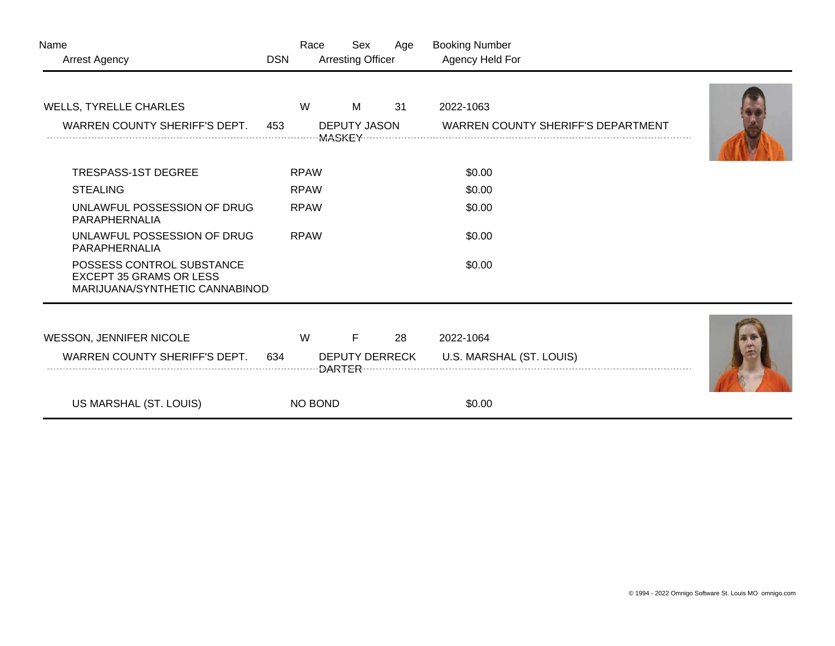| Name<br><b>Arrest Agency</b>                                                                  | <b>DSN</b> | Race                  | Sex<br><b>Arresting Officer</b> | Age | <b>Booking Number</b><br>Agency Held For  |  |
|-----------------------------------------------------------------------------------------------|------------|-----------------------|---------------------------------|-----|-------------------------------------------|--|
|                                                                                               |            | W                     | M                               | 31  | 2022-1063                                 |  |
| <b>WELLS, TYRELLE CHARLES</b>                                                                 |            |                       |                                 |     |                                           |  |
| WARREN COUNTY SHERIFF'S DEPT.                                                                 | 453        |                       | <b>DEPUTY JASON</b>             |     | <b>WARREN COUNTY SHERIFF'S DEPARTMENT</b> |  |
|                                                                                               |            |                       |                                 |     |                                           |  |
| <b>TRESPASS-1ST DEGREE</b>                                                                    |            | <b>RPAW</b>           |                                 |     | \$0.00                                    |  |
| <b>STEALING</b>                                                                               |            | <b>RPAW</b>           |                                 |     | \$0.00                                    |  |
| UNLAWFUL POSSESSION OF DRUG<br>PARAPHERNALIA                                                  |            | <b>RPAW</b>           |                                 |     | \$0.00                                    |  |
| UNLAWFUL POSSESSION OF DRUG<br>PARAPHERNALIA                                                  |            | <b>RPAW</b>           |                                 |     | \$0.00                                    |  |
| POSSESS CONTROL SUBSTANCE<br><b>EXCEPT 35 GRAMS OR LESS</b><br>MARIJUANA/SYNTHETIC CANNABINOD |            |                       |                                 |     | \$0.00                                    |  |
|                                                                                               |            |                       |                                 |     |                                           |  |
| WESSON, JENNIFER NICOLE                                                                       |            | W                     | F                               | 28  | 2022-1064                                 |  |
| WARREN COUNTY SHERIFF'S DEPT.                                                                 | 634        | <b>DEPUTY DERRECK</b> |                                 |     | U.S. MARSHAL (ST. LOUIS)                  |  |
| US MARSHAL (ST. LOUIS)                                                                        |            | NO BOND               |                                 |     | \$0.00                                    |  |